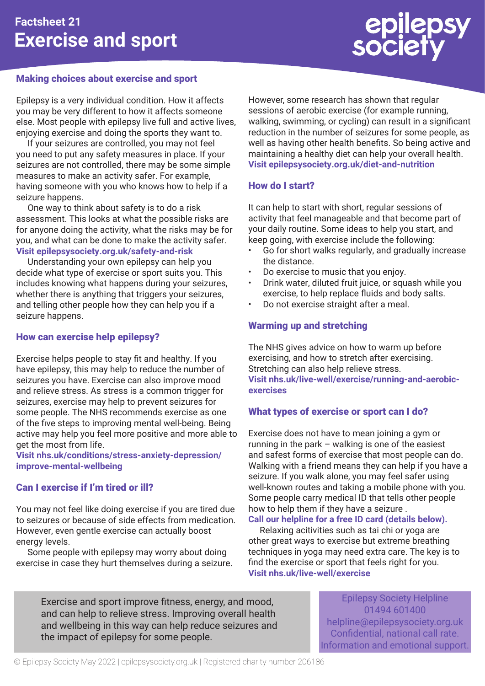

# Making choices about exercise and sport

Epilepsy is a very individual condition. How it affects you may be very different to how it affects someone else. Most people with epilepsy live full and active lives, enjoying exercise and doing the sports they want to.

If your seizures are controlled, you may not feel you need to put any safety measures in place. If your seizures are not controlled, there may be some simple measures to make an activity safer. For example, having someone with you who knows how to help if a seizure happens.

One way to think about safety is to do a risk assessment. This looks at what the possible risks are for anyone doing the activity, what the risks may be for you, and what can be done to make the activity safer. **Visit epilepsysociety.org.uk/safety-and-risk**

Understanding your own epilepsy can help you decide what type of exercise or sport suits you. This includes knowing what happens during your seizures, whether there is anything that triggers your seizures, and telling other people how they can help you if a seizure happens.

### How can exercise help epilepsy?

Exercise helps people to stay fit and healthy. If you have epilepsy, this may help to reduce the number of seizures you have. Exercise can also improve mood and relieve stress. As stress is a common trigger for seizures, exercise may help to prevent seizures for some people. The NHS recommends exercise as one of the five steps to improving mental well-being. Being active may help you feel more positive and more able to get the most from life.

**Visit nhs.uk/conditions/stress-anxiety-depression/ improve-mental-wellbeing**

# Can I exercise if I'm tired or ill?

You may not feel like doing exercise if you are tired due to seizures or because of side effects from medication. However, even gentle exercise can actually boost energy levels.

Some people with epilepsy may worry about doing exercise in case they hurt themselves during a seizure. However, some research has shown that regular sessions of aerobic exercise (for example running, walking, swimming, or cycling) can result in a significant reduction in the number of seizures for some people, as well as having other health benefits. So being active and maintaining a healthy diet can help your overall health. **Visit epilepsysociety.org.uk/diet-and-nutrition**

### How do I start?

It can help to start with short, regular sessions of activity that feel manageable and that become part of your daily routine. Some ideas to help you start, and keep going, with exercise include the following:

- Go for short walks regularly, and gradually increase the distance.
- Do exercise to music that you enjoy.
- Drink water, diluted fruit juice, or squash while you exercise, to help replace fluids and body salts.
- Do not exercise straight after a meal.

# Warming up and stretching

The NHS gives advice on how to warm up before exercising, and how to stretch after exercising. Stretching can also help relieve stress. **Visit nhs.uk/live-well/exercise/running-and-aerobicexercises**

# What types of exercise or sport can I do?

Exercise does not have to mean joining a gym or running in the park – walking is one of the easiest and safest forms of exercise that most people can do. Walking with a friend means they can help if you have a seizure. If you walk alone, you may feel safer using well-known routes and taking a mobile phone with you. Some people carry medical ID that tells other people how to help them if they have a seizure .

### **Call our helpline for a free ID card (details below).**

Relaxing acitivities such as tai chi or yoga are other great ways to exercise but extreme breathing techniques in yoga may need extra care. The key is to find the exercise or sport that feels right for you. **Visit nhs.uk/live-well/exercise**

Exercise and sport improve fitness, energy, and mood, and can help to relieve stress. Improving overall health and wellbeing in this way can help reduce seizures and the impact of epilepsy for some people.

Epilepsy Society Helpline 01494 601400 helpline@epilepsysociety.org.uk Confidential, national call rate. Information and emotional support.